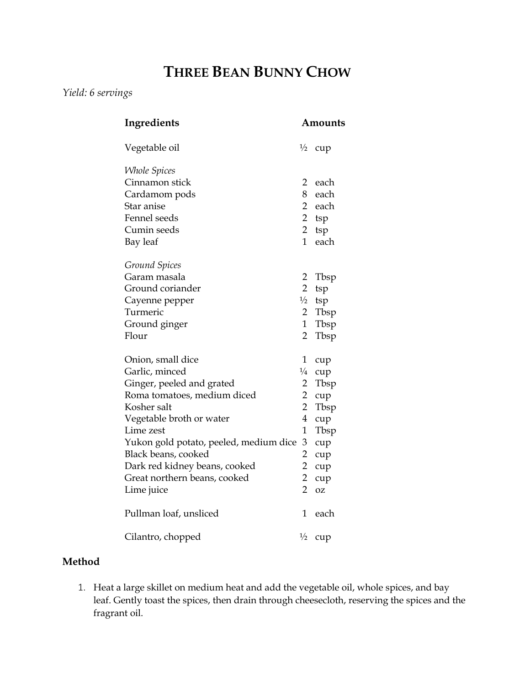## **THREE BEAN BUNNY CHOW**

*Yield: 6 servings*

| Ingredients                            |                | Amounts   |
|----------------------------------------|----------------|-----------|
| Vegetable oil                          | $\frac{1}{2}$  | cup       |
| <b>Whole Spices</b>                    |                |           |
| Cinnamon stick                         | $\overline{2}$ | each      |
| Cardamom pods                          | 8              | each      |
| Star anise                             | $\overline{2}$ | each      |
| Fennel seeds                           |                | 2 $tsp$   |
| Cumin seeds                            | $\overline{2}$ | tsp       |
| Bay leaf                               | $\mathbf{1}$   | each      |
| Ground Spices                          |                |           |
| Garam masala                           | $\overline{2}$ | Tbsp      |
| Ground coriander                       | $\overline{2}$ | tsp       |
| Cayenne pepper                         | $\frac{1}{2}$  | tsp       |
| Turmeric                               | $\overline{2}$ | Tbsp      |
| Ground ginger                          | $\mathbf{1}$   | Tbsp      |
| Flour                                  | $\overline{2}$ | Tbsp      |
| Onion, small dice                      | $\mathbf{1}$   | cup       |
| Garlic, minced                         | $\frac{1}{4}$  | cup       |
| Ginger, peeled and grated              | $\overline{2}$ | Tbsp      |
| Roma tomatoes, medium diced            | $\overline{2}$ | cup       |
| Kosher salt                            | $\overline{2}$ | Tbsp      |
| Vegetable broth or water               | $\overline{4}$ | cup       |
| Lime zest                              | $\mathbf{1}$   | Tbsp      |
| Yukon gold potato, peeled, medium dice | 3              | cup       |
| Black beans, cooked                    | $\overline{c}$ | cup       |
| Dark red kidney beans, cooked          | $\overline{2}$ | cup       |
| Great northern beans, cooked           | $\overline{2}$ | cup       |
| Lime juice                             | $\overline{2}$ | <b>OZ</b> |
| Pullman loaf, unsliced                 | $\mathbf{1}$   | each      |
| Cilantro, chopped                      | $\frac{1}{2}$  | cup       |

## **[Method](https://eb2.3lift.com/pass?tl_clickthrough=true&redir=https%3A%2F%2Fadclick.g.doubleclick.net%2Fpcs%2Fclick%3Fxai%3DAKAOjss026StocArz1hdg1LA36AT0yrzwVRnYpw5RrFMrG0DhonPeAYS457WKsiPMO6jU6DaM4SFVzWE8wSuEdFX-K-kqOCEUr7TPi0Op7FvoG94hKRL0es6MrDoGD_1ikj2_pbx-RaBhyZR0zR8z0Rnw1yth0L13RNEP2LfF5gqN2mVhrXIEUWZ3Sf78fsdDru8tIIe2-mbG1i5r7Pu9Yv8Jl7QX7R7uX4QvNX9gSmoepb-gvAK5ALN_HoKB95XG9M7-dMbLGc5ELV2L6v7-dEYTceAstZAX8_otvAbeFDYQDZRTrhqxKwJSgGZpgj8VAFYK6OV_0RpeHLwFbwFdc-Xu4UtwCjnPOlm8Vb0VG80K-5USbwOWt3iFsCgcCpG_2ONUelAqBQ084D9yKB5en4RKiGTyeoaf7QfQ2IDBmgWohswZIlKnd1VRdCXxnMTiO5UBIS7Si0kSHcl4ZtFaMAaZSDWdviFmAA3EvjkcqugeNqkd5IowIJLDwTVmnmEHGYw0ml7WsH7x5nwzcsDlaLluRNG6YBE3dKpqGr3jhyiJQrDkWOjchT5bYfysRRDVEk1StYvsXU9x--qjaG57TFg-17WrATIycPv1WZWU1XcHzQDerEwLSt5KeF-Zwhi_sUs28nlkgyYO_qYsAJpDTn_ucUaRzQnZpYhT5ibYjh0r7ECT72K3oskF7oRatUeoVSF6d2nmUuS9b2APgjc-NMHO5B9yIk5lOEKha30RtxaDCKlktS5qV82h90Nbcr9_4g8O_Lln57GS6jBptgq1grX-8BliyHP83Jt2hbYC9XQOmDZhElZ_4Fu3R9xsa46F-KrZFC3VfWFchkSDpKSv_RGSyiwz6PKUNFDi7pqarXjabkcBcWxZpGavgbFfjmZOkfU3d1TiEKbDTxAdf0fvIKMS7PD8erTaal2h1REBrJkyonCZohTAHWi8mYwf1Saa_w1Qut-itfm6C15NPUG7_IzXIIq8yUUvkP2rCKY3h0IKip7YrQU1UrwCp04153SGjMum6u9eQrmSsM-1u4LxSMHKutSL9RdcekDELeZIlIZ5RsvRSTAKUyDeQ8rHOnDJsR3-HE-7Q%26sai%3DAMfl-YRg-ClK94toBXDDbhrmy5YhaFgsqFqUyVXwpZJZGt4Bd_Fyh45xyXT7tzNzsi1LGgMy3ymlO82eBc2LfXwOMzlKX3iZp6FJMeySMFUjaPvIsYPsMO9Iw3xO9MLIL12t8oz-iqK-nU--sHJIzzhmY3B3LNunKNHvRnFA9zz-%26sig%3DCg0ArKJSzCgmIuAMSQ8yEAE%26urlfix%3D1%26adurl%3Dhttps%3A%2F%2Fcorporate.comcast.com%2Fvalues%2Finternet-essentials%253Futm_campaign%253Die10%2526utm_medium%253Dvideo-p%2526utm_source%253Dprogrammatic%2526utm_content%253Dftg&tluid=18094705069186397468&bc=0.666&uid=18094705069186397468&pr=0.324&brid=521&bmid=5989&clid=6984642&biid=6024&aid=7018527464201090950&tid=7383098&bcud=666&sid=66873&ts=1619394970&cb=82857)**

1. Heat a large skillet on medium heat and add the vegetable oil, whole spices, and bay leaf. Gently toast the spices, then drain through cheesecloth, reserving the spices and the fragrant oil.